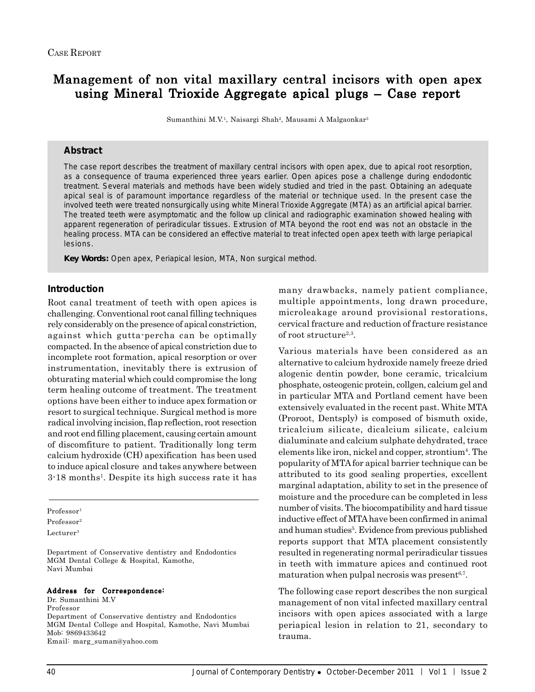# Management of non vital maxillary central incisors with open apex using Mineral Trioxide Aggregate apical plugs – Case report

Sumanthini M.V.1, Naisargi Shah2, Mausami A Malgaonkar3

# **Abstract**

The case report describes the treatment of maxillary central incisors with open apex, due to apical root resorption, as a consequence of trauma experienced three years earlier. Open apices pose a challenge during endodontic treatment. Several materials and methods have been widely studied and tried in the past. Obtaining an adequate apical seal is of paramount importance regardless of the material or technique used. In the present case the involved teeth were treated nonsurgically using white Mineral Trioxide Aggregate (MTA) as an artificial apical barrier. The treated teeth were asymptomatic and the follow up clinical and radiographic examination showed healing with apparent regeneration of periradicular tissues. Extrusion of MTA beyond the root end was not an obstacle in the healing process. MTA can be considered an effective material to treat infected open apex teeth with large periapical lesions.

*Key Words:* Open apex, Periapical lesion, MTA, Non surgical method.

# **Introduction**

Root canal treatment of teeth with open apices is challenging. Conventional root canal filling techniques rely considerably on the presence of apical constriction, against which gutta-percha can be optimally compacted. In the absence of apical constriction due to incomplete root formation, apical resorption or over instrumentation, inevitably there is extrusion of obturating material which could compromise the long term healing outcome of treatment. The treatment options have been either to induce apex formation or resort to surgical technique. Surgical method is more radical involving incision, flap reflection, root resection and root end filling placement, causing certain amount of discomfiture to patient. Traditionally long term calcium hydroxide (CH) apexification has been used to induce apical closure and takes anywhere between 3-18 months<sup>1</sup>. Despite its high success rate it has

Professor<sup>1</sup>

Professor2

Lecturer<sup>3</sup>

Department of Conservative dentistry and Endodontics MGM Dental College & Hospital, Kamothe, Navi Mumbai

#### Address for Correspondence:

Dr. Sumanthini M.V Professor Department of Conservative dentistry and Endodontics MGM Dental College and Hospital, Kamothe, Navi Mumbai Mob: 9869433642 Email: marg\_suman@yahoo.com

many drawbacks, namely patient compliance, multiple appointments, long drawn procedure, microleakage around provisional restorations, cervical fracture and reduction of fracture resistance of root structure<sup>2,3</sup>.

Various materials have been considered as an alternative to calcium hydroxide namely freeze dried alogenic dentin powder, bone ceramic, tricalcium phosphate, osteogenic protein, collgen, calcium gel and in particular MTA and Portland cement have been extensively evaluated in the recent past. White MTA (Proroot, Dentsply) is composed of bismuth oxide, tricalcium silicate, dicalcium silicate, calcium dialuminate and calcium sulphate dehydrated, trace elements like iron, nickel and copper, strontium<sup>4</sup>. The popularity of MTA for apical barrier technique can be attributed to its good sealing properties, excellent marginal adaptation, ability to set in the presence of moisture and the procedure can be completed in less number of visits. The biocompatibility and hard tissue inductive effect of MTA have been confirmed in animal and human studies<sup>5</sup>. Evidence from previous published reports support that MTA placement consistently resulted in regenerating normal periradicular tissues in teeth with immature apices and continued root maturation when pulpal necrosis was present $6,7$ .

The following case report describes the non surgical management of non vital infected maxillary central incisors with open apices associated with a large periapical lesion in relation to 21, secondary to trauma.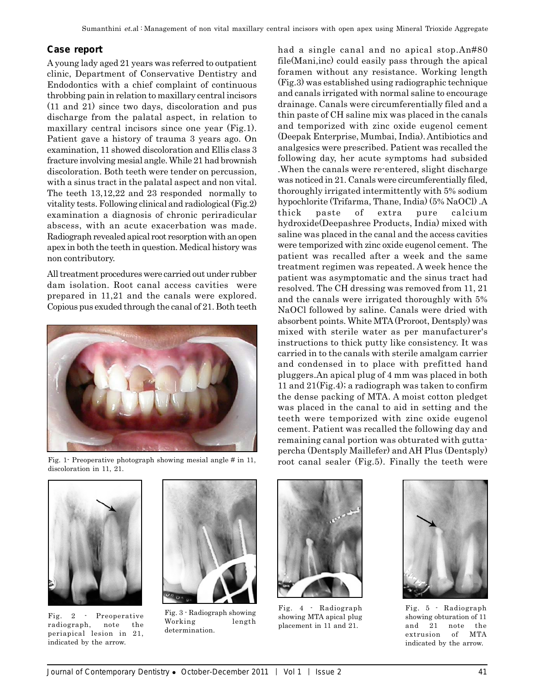# **Case report**

A young lady aged 21 years was referred to outpatient clinic, Department of Conservative Dentistry and Endodontics with a chief complaint of continuous throbbing pain in relation to maxillary central incisors (11 and 21) since two days, discoloration and pus discharge from the palatal aspect, in relation to maxillary central incisors since one year (Fig.1). Patient gave a history of trauma 3 years ago. On examination, 11 showed discoloration and Ellis class 3 fracture involving mesial angle. While 21 had brownish discoloration. Both teeth were tender on percussion, with a sinus tract in the palatal aspect and non vital. The teeth 13,12,22 and 23 responded normally to vitality tests. Following clinical and radiological (Fig.2) examination a diagnosis of chronic periradicular abscess, with an acute exacerbation was made. Radiograph revealed apical root resorption with an open apex in both the teeth in question. Medical history was non contributory.

All treatment procedures were carried out under rubber dam isolation. Root canal access cavities were prepared in 11,21 and the canals were explored. Copious pus exuded through the canal of 21. Both teeth





had a single canal and no apical stop.An#80



Fig. 2 - Preoperative radiograph, note the periapical lesion in 21, indicated by the arrow.



Fig. 3 - Radiograph showing Working length determination.



Fig. 4 - Radiograph showing MTA apical plug placement in 11 and 21.



Fig. 5 - Radiograph showing obturation of 11 and 21 note the extrusion of MTA indicated by the arrow.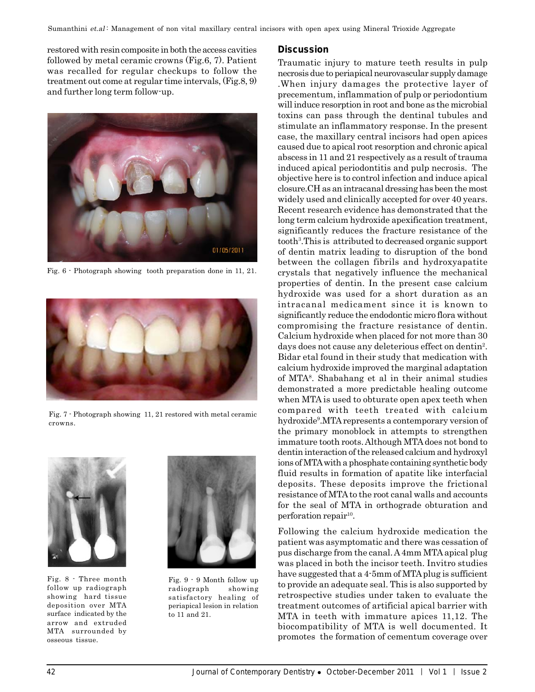restored with resin composite in both the access cavities followed by metal ceramic crowns (Fig.6, 7). Patient was recalled for regular checkups to follow the treatment out come at regular time intervals, (Fig.8, 9) and further long term follow-up.



Fig. 6 - Photograph showing tooth preparation done in 11, 21.



Fig. 7 - Photograph showing 11, 21 restored with metal ceramic crowns.



Fig. 8 - Three month follow up radiograph showing hard tissue deposition over MTA surface indicated by the arrow and extruded MTA surrounded by osseous tissue.



Fig. 9 - 9 Month follow up radiograph showing satisfactory healing of periapical lesion in relation to 11 and 21.

#### **Discussion**

Traumatic injury to mature teeth results in pulp necrosis due to periapical neurovascular supply damage .When injury damages the protective layer of precementum, inflammation of pulp or periodontium will induce resorption in root and bone as the microbial toxins can pass through the dentinal tubules and stimulate an inflammatory response. In the present case, the maxillary central incisors had open apices caused due to apical root resorption and chronic apical abscess in 11 and 21 respectively as a result of trauma induced apical periodontitis and pulp necrosis. The objective here is to control infection and induce apical closure.CH as an intracanal dressing has been the most widely used and clinically accepted for over 40 years. Recent research evidence has demonstrated that the long term calcium hydroxide apexification treatment, significantly reduces the fracture resistance of the tooth3 .This is attributed to decreased organic support of dentin matrix leading to disruption of the bond between the collagen fibrils and hydroxyapatite crystals that negatively influence the mechanical properties of dentin. In the present case calcium hydroxide was used for a short duration as an intracanal medicament since it is known to significantly reduce the endodontic micro flora without compromising the fracture resistance of dentin. Calcium hydroxide when placed for not more than 30 days does not cause any deleterious effect on dentin<sup>2</sup>. Bidar etal found in their study that medication with calcium hydroxide improved the marginal adaptation of MTA8 . Shabahang et al in their animal studies demonstrated a more predictable healing outcome when MTA is used to obturate open apex teeth when compared with teeth treated with calcium hydroxide<sup>9</sup>.MTA represents a contemporary version of the primary monoblock in attempts to strengthen immature tooth roots. Although MTA does not bond to dentin interaction of the released calcium and hydroxyl ions of MTA with a phosphate containing synthetic body fluid results in formation of apatite like interfacial deposits. These deposits improve the frictional resistance of MTA to the root canal walls and accounts for the seal of MTA in orthograde obturation and perforation repair<sup>10</sup>.

Following the calcium hydroxide medication the patient was asymptomatic and there was cessation of pus discharge from the canal. A 4mm MTA apical plug was placed in both the incisor teeth. Invitro studies have suggested that a 4-5mm of MTA plug is sufficient to provide an adequate seal. This is also supported by retrospective studies under taken to evaluate the treatment outcomes of artificial apical barrier with MTA in teeth with immature apices 11,12. The biocompatibility of MTA is well documented. It promotes the formation of cementum coverage over